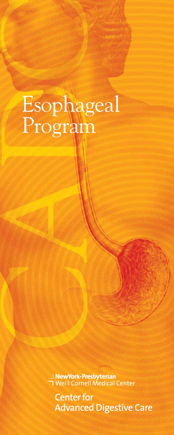# Esophageal Program

<mark>∟ **NewYork-Presbyterian**<br>コ Weill Cornell Medical Center</mark>

**Center for Advanced Digestive Care**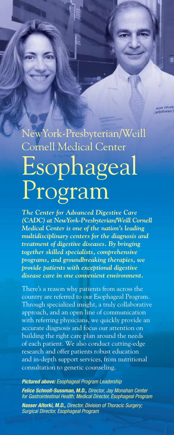## NewYork-Presbyterian/Weill Cornell Medical Center Esophageal Program

*The Center for Advanced Digestive Care (CADC) at NewYork-Presbyterian/Weill Cornell Medical Center is one of the nation's leading multidisciplinary centers for the diagnosis and treatment of digestive diseases. By bringing together skilled specialists, comprehensive programs, and groundbreaking therapies, we provide patients with exceptional digestive disease care in one convenient environment.*

There's a reason why patients from across the country are referred to our Esophageal Program. Through specialized insight, a truly collaborative approach, and an open line of communication with referring physicians, we quickly provide an accurate diagnosis and focus our attention on building the right care plan around the needs of each patient. We also conduct cutting-edge research and offer patients robust education and in-depth support services, from nutritional consultation to genetic counseling.

*Pictured above: Esophageal Program Leadership Felice Schnoll-Sussman, M.D., Director, Jay Monahan Center for Gastrointestinal Health; Medical Director, Esophageal Program* 

*Nasser Altorki, M.D., Director, Division of Thoracic Surgery; Surgical Director, Esophageal Program*